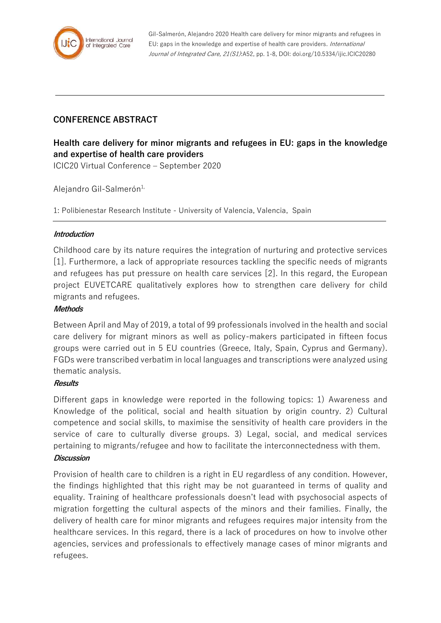

Gil-Salmerón, Alejandro 2020 Health care delivery for minor migrants and refugees in EU: gaps in the knowledge and expertise of health care providers. International Journal of Integrated Care, 21(S1):A52, pp. 1-8, DOI: doi.org/10.5334/ijic.ICIC20280

## **CONFERENCE ABSTRACT**

# **Health care delivery for minor migrants and refugees in EU: gaps in the knowledge and expertise of health care providers**

ICIC20 Virtual Conference – September 2020

Alejandro Gil-Salmerón $1$ ,

1: Polibienestar Research Institute - University of Valencia, Valencia, Spain

## **Introduction**

Childhood care by its nature requires the integration of nurturing and protective services [1]. Furthermore, a lack of appropriate resources tackling the specific needs of migrants and refugees has put pressure on health care services [2]. In this regard, the European project EUVETCARE qualitatively explores how to strengthen care delivery for child migrants and refugees.

#### **Methods**

Between April and May of 2019, a total of 99 professionals involved in the health and social care delivery for migrant minors as well as policy-makers participated in fifteen focus groups were carried out in 5 EU countries (Greece, Italy, Spain, Cyprus and Germany). FGDs were transcribed verbatim in local languages and transcriptions were analyzed using thematic analysis.

#### **Results**

Different gaps in knowledge were reported in the following topics: 1) Awareness and Knowledge of the political, social and health situation by origin country. 2) Cultural competence and social skills, to maximise the sensitivity of health care providers in the service of care to culturally diverse groups. 3) Legal, social, and medical services pertaining to migrants/refugee and how to facilitate the interconnectedness with them.

#### **Discussion**

Provision of health care to children is a right in EU regardless of any condition. However, the findings highlighted that this right may be not guaranteed in terms of quality and equality. Training of healthcare professionals doesn't lead with psychosocial aspects of migration forgetting the cultural aspects of the minors and their families. Finally, the delivery of health care for minor migrants and refugees requires major intensity from the healthcare services. In this regard, there is a lack of procedures on how to involve other agencies, services and professionals to effectively manage cases of minor migrants and refugees.